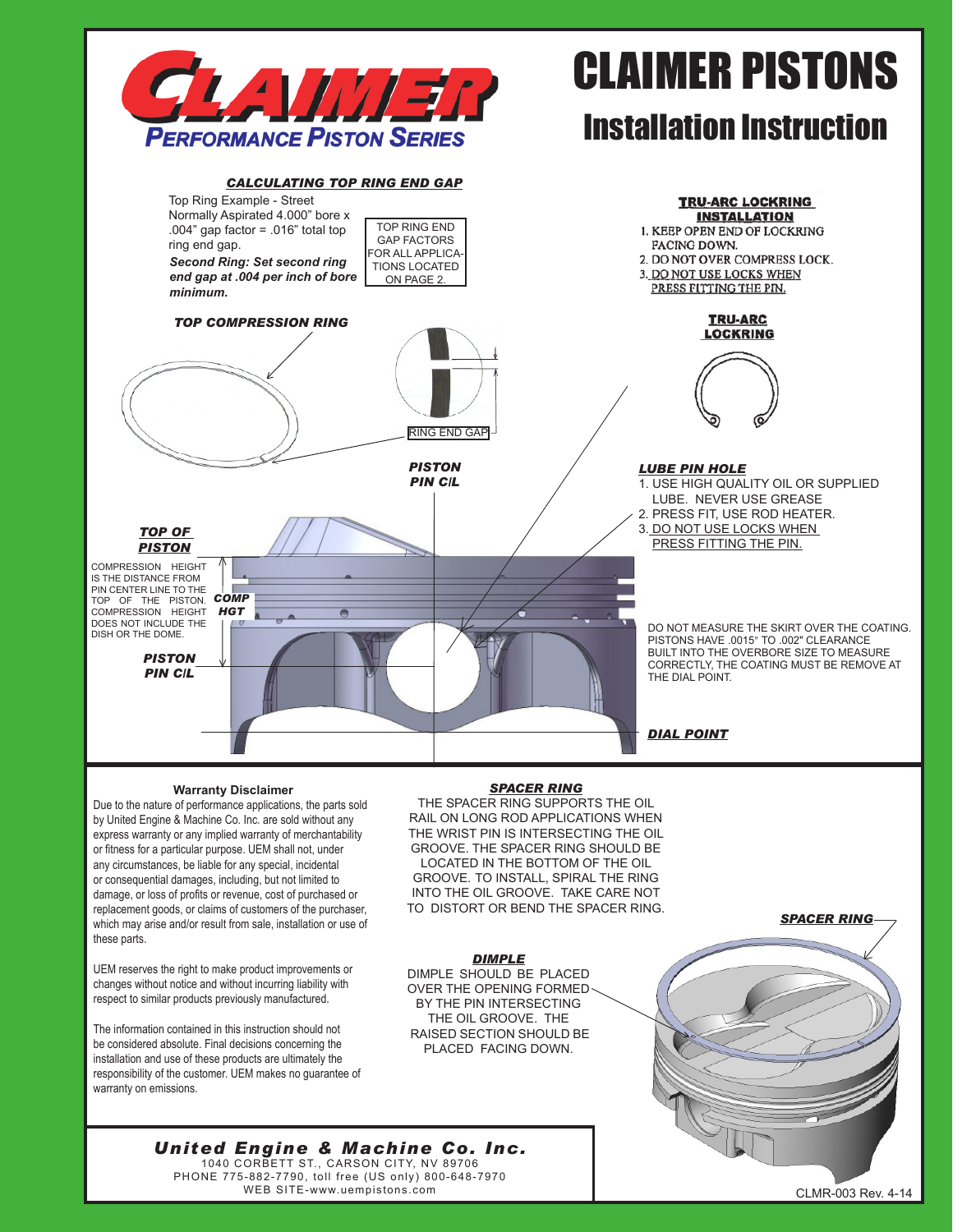

# CLAIMER PISTONS

# Installation Instruction



### **Warranty Disclaimer**

Due to the nature of performance applications, the parts sold by United Engine & Machine Co. Inc. are sold without any express warranty or any implied warranty of merchantability or fitness for a particular purpose. UEM shall not, under any circumstances, be liable for any special, incidental or consequential damages, including, but not limited to damage, or loss of profits or revenue, cost of purchased or replacement goods, or claims of customers of the purchaser, which may arise and/or result from sale, installation or use of these parts.

UEM reserves the right to make product improvements or changes without notice and without incurring liability with respect to similar products previously manufactured.

The information contained in this instruction should not be considered absolute. Final decisions concerning the installation and use of these products are ultimately the responsibility of the customer. UEM makes no guarantee of warranty on emissions.

### *SPACER RING*

THE SPACER RING SUPPORTS THE OIL RAIL ON LONG ROD APPLICATIONS WHEN THE WRIST PIN IS INTERSECTING THE OIL GROOVE. THE SPACER RING SHOULD BE LOCATED IN THE BOTTOM OF THE OIL GROOVE. TO INSTALL, SPIRAL THE RING INTO THE OIL GROOVE. TAKE CARE NOT TO DISTORT OR BEND THE SPACER RING.

*DIMPLE* DIMPLE SHOULD BE PLACED OVER THE OPENING FORMED BY THE PIN INTERSECTING THE OIL GROOVE. THE RAISED SECTION SHOULD BE PLACED FACING DOWN.



## *United Engine & Machine Co. Inc.* 1040 CORBETT ST., CARSON CITY, NV 89706

PHONE 775-882-7790, toll free (US only) 800-648-7970 WEB SITE-www.uempistons.com **CLMR-003 Rev. 4-14** New York 2008 Rev. 4-14